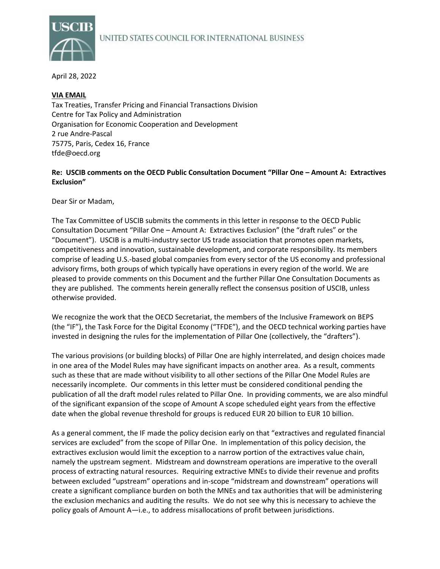

April 28, 2022

## **VIA EMAIL**

Tax Treaties, Transfer Pricing and Financial Transactions Division Centre for Tax Policy and Administration Organisation for Economic Cooperation and Development 2 rue Andre-Pascal 75775, Paris, Cedex 16, France tfde@oecd.org

# **Re: USCIB comments on the OECD Public Consultation Document "Pillar One – Amount A: Extractives Exclusion"**

Dear Sir or Madam,

The Tax Committee of USCIB submits the comments in this letter in response to the OECD Public Consultation Document "Pillar One – Amount A: Extractives Exclusion" (the "draft rules" or the "Document"). USCIB is a multi-industry sector US trade association that promotes open markets, competitiveness and innovation, sustainable development, and corporate responsibility. Its members comprise of leading U.S.-based global companies from every sector of the US economy and professional advisory firms, both groups of which typically have operations in every region of the world. We are pleased to provide comments on this Document and the further Pillar One Consultation Documents as they are published. The comments herein generally reflect the consensus position of USCIB, unless otherwise provided.

We recognize the work that the OECD Secretariat, the members of the Inclusive Framework on BEPS (the "IF"), the Task Force for the Digital Economy ("TFDE"), and the OECD technical working parties have invested in designing the rules for the implementation of Pillar One (collectively, the "drafters").

The various provisions (or building blocks) of Pillar One are highly interrelated, and design choices made in one area of the Model Rules may have significant impacts on another area. As a result, comments such as these that are made without visibility to all other sections of the Pillar One Model Rules are necessarily incomplete. Our comments in this letter must be considered conditional pending the publication of all the draft model rules related to Pillar One. In providing comments, we are also mindful of the significant expansion of the scope of Amount A scope scheduled eight years from the effective date when the global revenue threshold for groups is reduced EUR 20 billion to EUR 10 billion.

As a general comment, the IF made the policy decision early on that "extractives and regulated financial services are excluded" from the scope of Pillar One. In implementation of this policy decision, the extractives exclusion would limit the exception to a narrow portion of the extractives value chain, namely the upstream segment. Midstream and downstream operations are imperative to the overall process of extracting natural resources. Requiring extractive MNEs to divide their revenue and profits between excluded "upstream" operations and in-scope "midstream and downstream" operations will create a significant compliance burden on both the MNEs and tax authorities that will be administering the exclusion mechanics and auditing the results. We do not see why this is necessary to achieve the policy goals of Amount A—i.e., to address misallocations of profit between jurisdictions.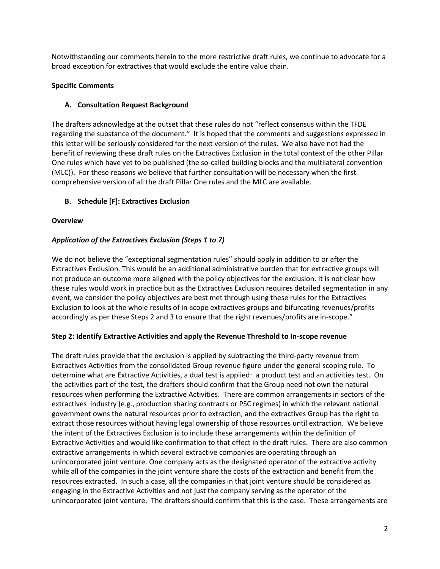Notwithstanding our comments herein to the more restrictive draft rules, we continue to advocate for a broad exception for extractives that would exclude the entire value chain.

# **Specific Comments**

# **A. Consultation Request Background**

The drafters acknowledge at the outset that these rules do not "reflect consensus within the TFDE regarding the substance of the document." It is hoped that the comments and suggestions expressed in this letter will be seriously considered for the next version of the rules. We also have not had the benefit of reviewing these draft rules on the Extractives Exclusion in the total context of the other Pillar One rules which have yet to be published (the so-called building blocks and the multilateral convention (MLC)). For these reasons we believe that further consultation will be necessary when the first comprehensive version of all the draft Pillar One rules and the MLC are available.

## **B. Schedule [F]: Extractives Exclusion**

### **Overview**

## *Application of the Extractives Exclusion (Steps 1 to 7)*

We do not believe the "exceptional segmentation rules" should apply in addition to or after the Extractives Exclusion. This would be an additional administrative burden that for extractive groups will not produce an outcome more aligned with the policy objectives for the exclusion. It is not clear how these rules would work in practice but as the Extractives Exclusion requires detailed segmentation in any event, we consider the policy objectives are best met through using these rules for the Extractives Exclusion to look at the whole results of in-scope extractives groups and bifurcating revenues/profits accordingly as per these Steps 2 and 3 to ensure that the right revenues/profits are in-scope."

### **Step 2: Identify Extractive Activities and apply the Revenue Threshold to In-scope revenue**

The draft rules provide that the exclusion is applied by subtracting the third-party revenue from Extractives Activities from the consolidated Group revenue figure under the general scoping rule. To determine what are Extractive Activities, a dual test is applied: a product test and an activities test. On the activities part of the test, the drafters should confirm that the Group need not own the natural resources when performing the Extractive Activities. There are common arrangements in sectors of the extractives industry (e.g., production sharing contracts or PSC regimes) in which the relevant national government owns the natural resources prior to extraction, and the extractives Group has the right to extract those resources without having legal ownership of those resources until extraction. We believe the intent of the Extractives Exclusion is to include these arrangements within the definition of Extractive Activities and would like confirmation to that effect in the draft rules. There are also common extractive arrangements in which several extractive companies are operating through an unincorporated joint venture. One company acts as the designated operator of the extractive activity while all of the companies in the joint venture share the costs of the extraction and benefit from the resources extracted. In such a case, all the companies in that joint venture should be considered as engaging in the Extractive Activities and not just the company serving as the operator of the unincorporated joint venture. The drafters should confirm that this is the case. These arrangements are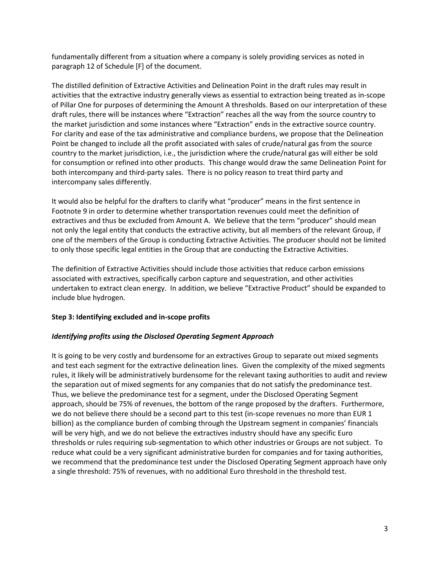fundamentally different from a situation where a company is solely providing services as noted in paragraph 12 of Schedule [F] of the document.

The distilled definition of Extractive Activities and Delineation Point in the draft rules may result in activities that the extractive industry generally views as essential to extraction being treated as in-scope of Pillar One for purposes of determining the Amount A thresholds. Based on our interpretation of these draft rules, there will be instances where "Extraction" reaches all the way from the source country to the market jurisdiction and some instances where "Extraction" ends in the extractive source country. For clarity and ease of the tax administrative and compliance burdens, we propose that the Delineation Point be changed to include all the profit associated with sales of crude/natural gas from the source country to the market jurisdiction, i.e., the jurisdiction where the crude/natural gas will either be sold for consumption or refined into other products. This change would draw the same Delineation Point for both intercompany and third-party sales. There is no policy reason to treat third party and intercompany sales differently.

It would also be helpful for the drafters to clarify what "producer" means in the first sentence in Footnote 9 in order to determine whether transportation revenues could meet the definition of extractives and thus be excluded from Amount A. We believe that the term "producer" should mean not only the legal entity that conducts the extractive activity, but all members of the relevant Group, if one of the members of the Group is conducting Extractive Activities. The producer should not be limited to only those specific legal entities in the Group that are conducting the Extractive Activities.

The definition of Extractive Activities should include those activities that reduce carbon emissions associated with extractives, specifically carbon capture and sequestration, and other activities undertaken to extract clean energy. In addition, we believe "Extractive Product" should be expanded to include blue hydrogen.

### **Step 3: Identifying excluded and in-scope profits**

### *Identifying profits using the Disclosed Operating Segment Approach*

It is going to be very costly and burdensome for an extractives Group to separate out mixed segments and test each segment for the extractive delineation lines. Given the complexity of the mixed segments rules, it likely will be administratively burdensome for the relevant taxing authorities to audit and review the separation out of mixed segments for any companies that do not satisfy the predominance test. Thus, we believe the predominance test for a segment, under the Disclosed Operating Segment approach, should be 75% of revenues, the bottom of the range proposed by the drafters. Furthermore, we do not believe there should be a second part to this test (in-scope revenues no more than EUR 1 billion) as the compliance burden of combing through the Upstream segment in companies' financials will be very high, and we do not believe the extractives industry should have any specific Euro thresholds or rules requiring sub-segmentation to which other industries or Groups are not subject. To reduce what could be a very significant administrative burden for companies and for taxing authorities, we recommend that the predominance test under the Disclosed Operating Segment approach have only a single threshold: 75% of revenues, with no additional Euro threshold in the threshold test.